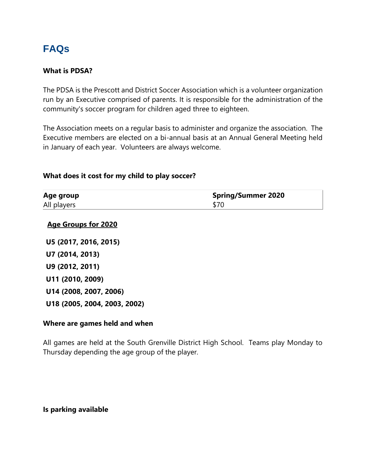# **FAQs**

#### **What is PDSA?**

The PDSA is the Prescott and District Soccer Association which is a volunteer organization run by an Executive comprised of parents. It is responsible for the administration of the community's soccer program for children aged three to eighteen.

The Association meets on a regular basis to administer and organize the association. The Executive members are elected on a bi-annual basis at an Annual General Meeting held in January of each year. Volunteers are always welcome.

#### **What does it cost for my child to play soccer?**

| Age group   | <b>Spring/Summer 2020</b> |
|-------------|---------------------------|
| All players |                           |

#### **Age Groups for 2020**

**U5 (2017, 2016, 2015) U7 (2014, 2013) U9 (2012, 2011) U11 (2010, 2009) U14 (2008, 2007, 2006) U18 (2005, 2004, 2003, 2002)**

#### **Where are games held and when**

All games are held at the South Grenville District High School. Teams play Monday to Thursday depending the age group of the player.

#### **Is parking available**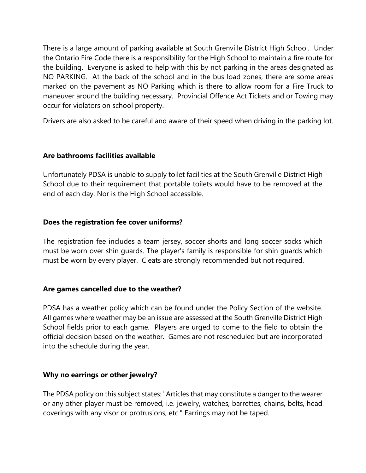There is a large amount of parking available at South Grenville District High School. Under the Ontario Fire Code there is a responsibility for the High School to maintain a fire route for the building. Everyone is asked to help with this by not parking in the areas designated as NO PARKING. At the back of the school and in the bus load zones, there are some areas marked on the pavement as NO Parking which is there to allow room for a Fire Truck to maneuver around the building necessary. Provincial Offence Act Tickets and or Towing may occur for violators on school property.

Drivers are also asked to be careful and aware of their speed when driving in the parking lot.

#### **Are bathrooms facilities available**

Unfortunately PDSA is unable to supply toilet facilities at the South Grenville District High School due to their requirement that portable toilets would have to be removed at the end of each day. Nor is the High School accessible.

#### **Does the registration fee cover uniforms?**

The registration fee includes a team jersey, soccer shorts and long soccer socks which must be worn over shin guards. The player's family is responsible for shin guards which must be worn by every player. Cleats are strongly recommended but not required.

#### **Are games cancelled due to the weather?**

PDSA has a weather policy which can be found under the Policy Section of the website. All games where weather may be an issue are assessed at the South Grenville District High School fields prior to each game. Players are urged to come to the field to obtain the official decision based on the weather. Games are not rescheduled but are incorporated into the schedule during the year.

#### **Why no earrings or other jewelry?**

The PDSA policy on this subject states: "Articles that may constitute a danger to the wearer or any other player must be removed, i.e. jewelry, watches, barrettes, chains, belts, head coverings with any visor or protrusions, etc." Earrings may not be taped.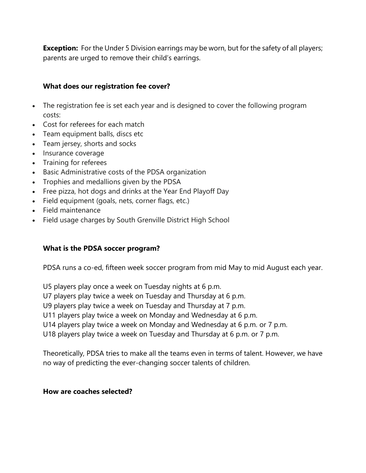**Exception:** For the Under 5 Division earrings may be worn, but for the safety of all players; parents are urged to remove their child's earrings.

#### **What does our registration fee cover?**

- The registration fee is set each year and is designed to cover the following program costs:
- Cost for referees for each match
- Team equipment balls, discs etc
- Team jersey, shorts and socks
- Insurance coverage
- Training for referees
- Basic Administrative costs of the PDSA organization
- Trophies and medallions given by the PDSA
- Free pizza, hot dogs and drinks at the Year End Playoff Day
- Field equipment (goals, nets, corner flags, etc.)
- Field maintenance
- Field usage charges by South Grenville District High School

## **What is the PDSA soccer program?**

PDSA runs a co-ed, fifteen week soccer program from mid May to mid August each year.

U5 players play once a week on Tuesday nights at 6 p.m.

U7 players play twice a week on Tuesday and Thursday at 6 p.m.

U9 players play twice a week on Tuesday and Thursday at 7 p.m.

U11 players play twice a week on Monday and Wednesday at 6 p.m.

U14 players play twice a week on Monday and Wednesday at 6 p.m. or 7 p.m.

U18 players play twice a week on Tuesday and Thursday at 6 p.m. or 7 p.m.

Theoretically, PDSA tries to make all the teams even in terms of talent. However, we have no way of predicting the ever-changing soccer talents of children.

#### **How are coaches selected?**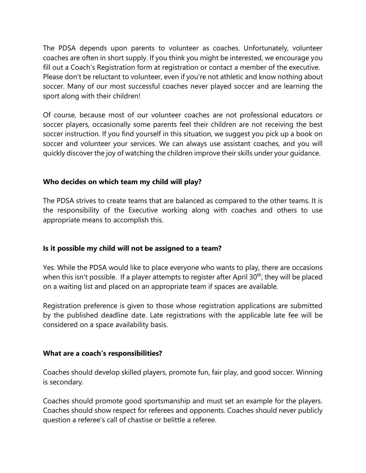The PDSA depends upon parents to volunteer as coaches. Unfortunately, volunteer coaches are often in short supply. If you think you might be interested, we encourage you fill out a Coach's Registration form at registration or contact a member of the executive. Please don't be reluctant to volunteer, even if you're not athletic and know nothing about soccer. Many of our most successful coaches never played soccer and are learning the sport along with their children!

Of course, because most of our volunteer coaches are not professional educators or soccer players, occasionally some parents feel their children are not receiving the best soccer instruction. If you find yourself in this situation, we suggest you pick up a book on soccer and volunteer your services. We can always use assistant coaches, and you will quickly discover the joy of watching the children improve their skills under your guidance.

## **Who decides on which team my child will play?**

The PDSA strives to create teams that are balanced as compared to the other teams. It is the responsibility of the Executive working along with coaches and others to use appropriate means to accomplish this.

# **Is it possible my child will not be assigned to a team?**

Yes. While the PDSA would like to place everyone who wants to play, there are occasions when this isn't possible. If a player attempts to register after April  $30<sup>th</sup>$ , they will be placed on a waiting list and placed on an appropriate team if spaces are available.

Registration preference is given to those whose registration applications are submitted by the published deadline date. Late registrations with the applicable late fee will be considered on a space availability basis.

## **What are a coach's responsibilities?**

Coaches should develop skilled players, promote fun, fair play, and good soccer. Winning is secondary.

Coaches should promote good sportsmanship and must set an example for the players. Coaches should show respect for referees and opponents. Coaches should never publicly question a referee's call of chastise or belittle a referee.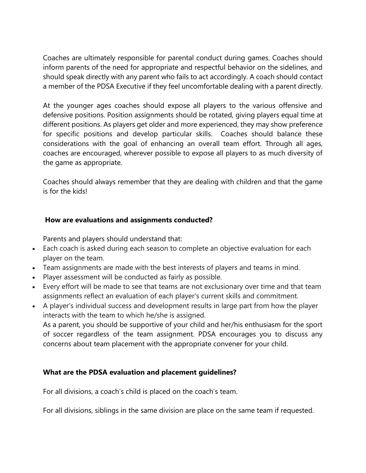Coaches are ultimately responsible for parental conduct during games. Coaches should inform parents of the need for appropriate and respectful behavior on the sidelines, and should speak directly with any parent who fails to act accordingly. A coach should contact a member of the PDSA Executive if they feel uncomfortable dealing with a parent directly.

At the younger ages coaches should expose all players to the various offensive and defensive positions. Position assignments should be rotated, giving players equal time at different positions. As players get older and more experienced, they may show preference for specific positions and develop particular skills. Coaches should balance these considerations with the goal of enhancing an overall team effort. Through all ages, coaches are encouraged, wherever possible to expose all players to as much diversity of the game as appropriate.

Coaches should always remember that they are dealing with children and that the game is for the kids!

## **How are evaluations and assignments conducted?**

Parents and players should understand that:

- Each coach is asked during each season to complete an objective evaluation for each player on the team.
- Team assignments are made with the best interests of players and teams in mind.
- Player assessment will be conducted as fairly as possible.
- Every effort will be made to see that teams are not exclusionary over time and that team assignments reflect an evaluation of each player's current skills and commitment.
- A player's individual success and development results in large part from how the player interacts with the team to which he/she is assigned.

As a parent, you should be supportive of your child and her/his enthusiasm for the sport of soccer regardless of the team assignment. PDSA encourages you to discuss any concerns about team placement with the appropriate convener for your child.

# **What are the PDSA evaluation and placement guidelines?**

For all divisions, a coach's child is placed on the coach's team.

For all divisions, siblings in the same division are place on the same team if requested.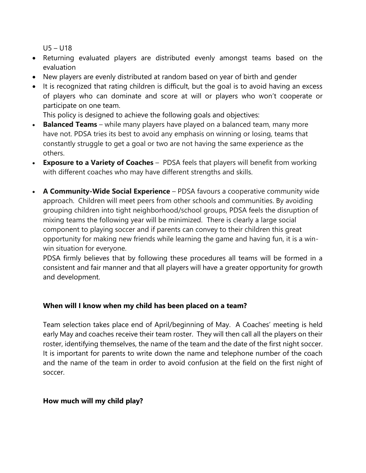U5 – U18

- Returning evaluated players are distributed evenly amongst teams based on the evaluation
- New players are evenly distributed at random based on year of birth and gender
- It is recognized that rating children is difficult, but the goal is to avoid having an excess of players who can dominate and score at will or players who won't cooperate or participate on one team.

This policy is designed to achieve the following goals and objectives:

- **Balanced Teams** while many players have played on a balanced team, many more have not. PDSA tries its best to avoid any emphasis on winning or losing, teams that constantly struggle to get a goal or two are not having the same experience as the others.
- **Exposure to a Variety of Coaches** PDSA feels that players will benefit from working with different coaches who may have different strengths and skills.
- **A Community-Wide Social Experience**  PDSA favours a cooperative community wide approach. Children will meet peers from other schools and communities. By avoiding grouping children into tight neighborhood/school groups, PDSA feels the disruption of mixing teams the following year will be minimized. There is clearly a large social component to playing soccer and if parents can convey to their children this great opportunity for making new friends while learning the game and having fun, it is a winwin situation for everyone.

PDSA firmly believes that by following these procedures all teams will be formed in a consistent and fair manner and that all players will have a greater opportunity for growth and development.

## **When will I know when my child has been placed on a team?**

Team selection takes place end of April/beginning of May. A Coaches' meeting is held early May and coaches receive their team roster. They will then call all the players on their roster, identifying themselves, the name of the team and the date of the first night soccer. It is important for parents to write down the name and telephone number of the coach and the name of the team in order to avoid confusion at the field on the first night of soccer.

## **How much will my child play?**